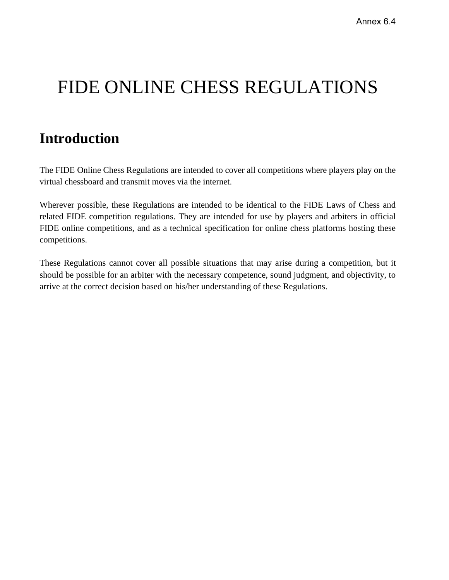# FIDE ONLINE CHESS REGULATIONS

# <span id="page-0-0"></span>**Introduction**

The FIDE Online Chess Regulations are intended to cover all competitions where players play on the virtual chessboard and transmit moves via the internet.

Wherever possible, these Regulations are intended to be identical to the FIDE Laws of Chess and related FIDE competition regulations. They are intended for use by players and arbiters in official FIDE online competitions, and as a technical specification for online chess platforms hosting these competitions.

These Regulations cannot cover all possible situations that may arise during a competition, but it should be possible for an arbiter with the necessary competence, sound judgment, and objectivity, to arrive at the correct decision based on his/her understanding of these Regulations.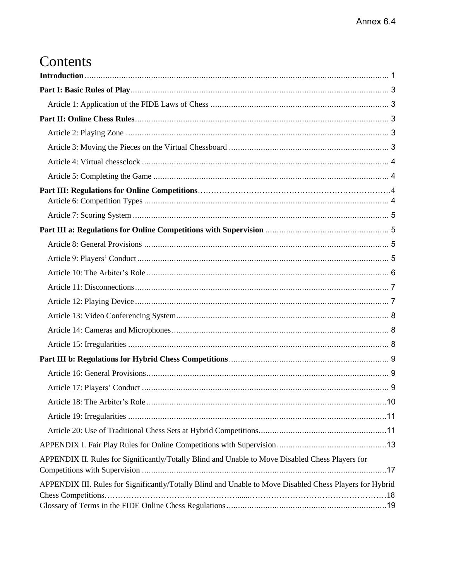# Contents

| APPENDIX II. Rules for Significantly/Totally Blind and Unable to Move Disabled Chess Players for         |
|----------------------------------------------------------------------------------------------------------|
| APPENDIX III. Rules for Significantly/Totally Blind and Unable to Move Disabled Chess Players for Hybrid |
|                                                                                                          |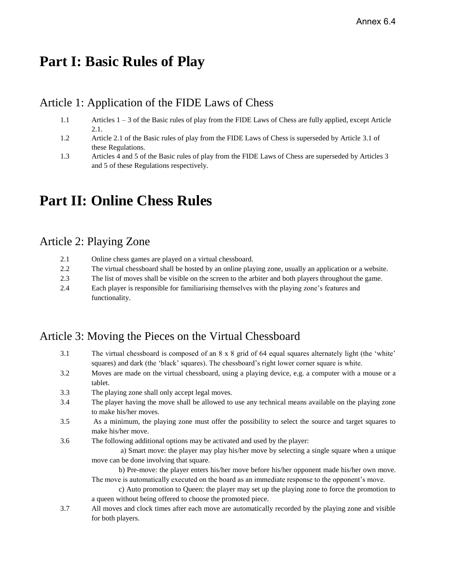## <span id="page-2-0"></span>**Part I: Basic Rules of Play**

### <span id="page-2-1"></span>Article 1: Application of the FIDE Laws of Chess

- 1.1 Articles 1 3 of the Basic rules of play from the FIDE Laws of Chess are fully applied, except Article 2.1.
- 1.2 Article 2.1 of the Basic rules of play from the FIDE Laws of Chess is superseded by Article 3.1 of these Regulations.
- 1.3 Articles 4 and 5 of the Basic rules of play from the FIDE Laws of Chess are superseded by Articles 3 and 5 of these Regulations respectively.

## <span id="page-2-2"></span>**Part II: Online Chess Rules**

for both players.

#### <span id="page-2-3"></span>Article 2: Playing Zone

| 2.1 | Online chess games are played on a virtual chessboard.                                                 |
|-----|--------------------------------------------------------------------------------------------------------|
| 2.2 | The virtual chessboard shall be hosted by an online playing zone, usually an application or a website. |
| 2.3 | The list of moves shall be visible on the screen to the arbiter and both players throughout the game.  |
| 2.4 | Each player is responsible for familiarising themselves with the playing zone's features and           |
|     | functionality.                                                                                         |

## <span id="page-2-4"></span>Article 3: Moving the Pieces on the Virtual Chessboard

| 3.1 | The virtual chessboard is composed of an 8 x 8 grid of 64 equal squares alternately light (the 'white'<br>squares) and dark (the 'black' squares). The chessboard's right lower corner square is white. |
|-----|---------------------------------------------------------------------------------------------------------------------------------------------------------------------------------------------------------|
| 3.2 | Moves are made on the virtual chessboard, using a playing device, e.g. a computer with a mouse or a<br>tablet.                                                                                          |
| 3.3 | The playing zone shall only accept legal moves.                                                                                                                                                         |
| 3.4 | The player having the move shall be allowed to use any technical means available on the playing zone<br>to make his/her moves.                                                                          |
| 3.5 | As a minimum, the playing zone must offer the possibility to select the source and target squares to<br>make his/her move.                                                                              |
| 3.6 | The following additional options may be activated and used by the player:                                                                                                                               |
|     | a) Smart move: the player may play his/her move by selecting a single square when a unique                                                                                                              |
|     | move can be done involving that square.                                                                                                                                                                 |
|     | b) Pre-move: the player enters his/her move before his/her opponent made his/her own move.                                                                                                              |
|     | The move is automatically executed on the board as an immediate response to the opponent's move.                                                                                                        |
|     | c) Auto promotion to Queen: the player may set up the playing zone to force the promotion to                                                                                                            |
|     | a queen without being offered to choose the promoted piece.                                                                                                                                             |
| 3.7 | All moves and clock times after each move are automatically recorded by the playing zone and visible                                                                                                    |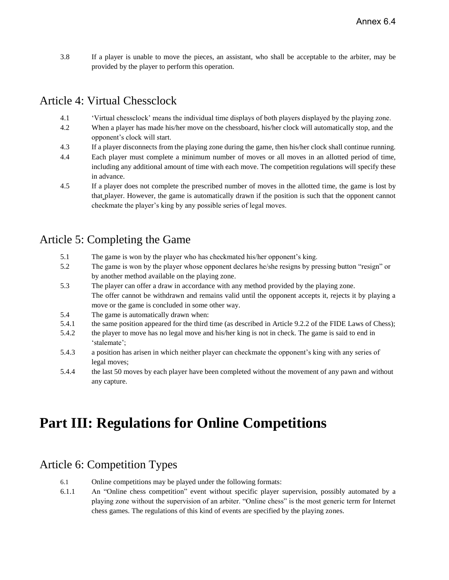3.8 If a player is unable to move the pieces, an assistant, who shall be acceptable to the arbiter, may be provided by the player to perform this operation.

## <span id="page-3-0"></span>Article 4: Virtual Chessclock

- 4.1 'Virtual chessclock' means the individual time displays of both players displayed by the playing zone.
- 4.2 When a player has made his/her move on the chessboard, his/her clock will automatically stop, and the opponent's clock will start.
- 4.3 If a player disconnects from the playing zone during the game, then his/her clock shall continue running.
- 4.4 Each player must complete a minimum number of moves or all moves in an allotted period of time, including any additional amount of time with each move. The competition regulations will specify these in advance.
- 4.5 If a player does not complete the prescribed number of moves in the allotted time, the game is lost by that player. However, the game is automatically drawn if the position is such that the opponent cannot checkmate the player's king by any possible series of legal moves.

### <span id="page-3-1"></span>Article 5: Completing the Game

- 5.1 The game is won by the player who has checkmated his/her opponent's king.
- 5.2 The game is won by the player whose opponent declares he/she resigns by pressing button "resign" or by another method available on the playing zone.
- 5.3 The player can offer a draw in accordance with any method provided by the playing zone. The offer cannot be withdrawn and remains valid until the opponent accepts it, rejects it by playing a move or the game is concluded in some other way.
- 5.4 The game is automatically drawn when:
- 5.4.1 the same position appeared for the third time (as described in Article 9.2.2 of the FIDE Laws of Chess);
- 5.4.2 the player to move has no legal move and his/her king is not in check. The game is said to end in 'stalemate';
- 5.4.3 a position has arisen in which neither player can checkmate the opponent's king with any series of legal moves;
- 5.4.4 the last 50 moves by each player have been completed without the movement of any pawn and without any capture.

# **Part III: Regulations for Online Competitions**

## <span id="page-3-2"></span>Article 6: Competition Types

- 6.1 Online competitions may be played under the following formats:
- 6.1.1 An "Online chess competition" event without specific player supervision, possibly automated by a playing zone without the supervision of an arbiter. "Online chess" is the most generic term for Internet chess games. The regulations of this kind of events are specified by the playing zones.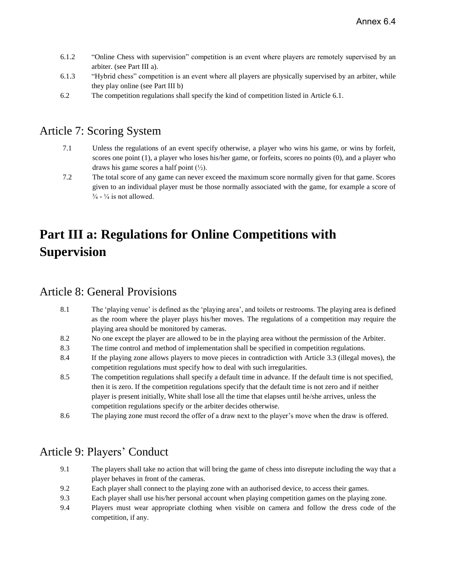- 6.1.2 "Online Chess with supervision" competition is an event where players are remotely supervised by an arbiter. (see Part III a).
- 6.1.3 "Hybrid chess" competition is an event where all players are physically supervised by an arbiter, while they play online (see Part III b)
- 6.2 The competition regulations shall specify the kind of competition listed in Article 6.1.

#### <span id="page-4-0"></span>Article 7: Scoring System

- 7.1 Unless the regulations of an event specify otherwise, a player who wins his game, or wins by forfeit, scores one point (1), a player who loses his/her game, or forfeits, scores no points (0), and a player who draws his game scores a half point  $(\frac{1}{2})$ .
- 7.2 The total score of any game can never exceed the maximum score normally given for that game. Scores given to an individual player must be those normally associated with the game, for example a score of  $\frac{3}{4}$  -  $\frac{1}{4}$  is not allowed.

# <span id="page-4-1"></span>**Part III a: Regulations for Online Competitions with Supervision**

#### <span id="page-4-2"></span>Article 8: General Provisions

- 8.1 The 'playing venue' is defined as the 'playing area', and toilets or restrooms. The playing area is defined as the room where the player plays his/her moves. The regulations of a competition may require the playing area should be monitored by cameras.
- 8.2 No one except the player are allowed to be in the playing area without the permission of the Arbiter.
- 8.3 The time control and method of implementation shall be specified in competition regulations.
- 8.4 If the playing zone allows players to move pieces in contradiction with Article 3.3 (illegal moves), the competition regulations must specify how to deal with such irregularities.
- 8.5 The competition regulations shall specify a default time in advance. If the default time is not specified, then it is zero. If the competition regulations specify that the default time is not zero and if neither player is present initially, White shall lose all the time that elapses until he/she arrives, unless the competition regulations specify or the arbiter decides otherwise.
- 8.6 The playing zone must record the offer of a draw next to the player's move when the draw is offered.

## <span id="page-4-3"></span>Article 9: Players' Conduct

- 9.1 The players shall take no action that will bring the game of chess into disrepute including the way that a player behaves in front of the cameras.
- 9.2 Each player shall connect to the playing zone with an authorised device, to access their games.
- 9.3 Each player shall use his/her personal account when playing competition games on the playing zone.
- 9.4 Players must wear appropriate clothing when visible on camera and follow the dress code of the competition, if any.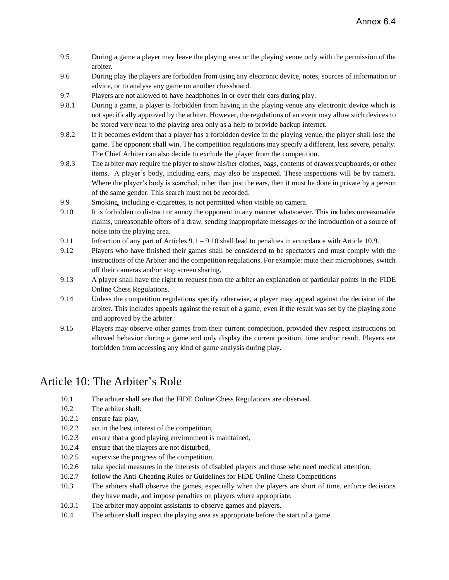- 9.5 During a game a player may leave the playing area or the playing venue only with the permission of the arbiter.
- 9.6 During play the players are forbidden from using any electronic device, notes, sources of information or advice, or to analyse any game on another chessboard.
- 9.7 Players are not allowed to have headphones in or over their ears during play.
- 9.8.1 During a game, a player is forbidden from having in the playing venue any electronic device which is not specifically approved by the arbiter. However, the regulations of an event may allow such devices to be stored very near to the playing area only as a help to provide backup internet.
- 9.8.2 If it becomes evident that a player has a forbidden device in the playing venue, the player shall lose the game. The opponent shall win. The competition regulations may specify a different, less severe, penalty. The Chief Arbiter can also decide to exclude the player from the competition.
- 9.8.3 The arbiter may require the player to show his/her clothes, bags, contents of drawers/cupboards, or other items. A player's body, including ears, may also be inspected. These inspections will be by camera. Where the player's body is searched, other than just the ears, then it must be done in private by a person of the same gender. This search must not be recorded.
- 9.9 Smoking, including e-cigarettes, is not permitted when visible on camera.
- 9.10 It is forbidden to distract or annoy the opponent in any manner whatsoever. This includes unreasonable claims, unreasonable offers of a draw, sending inappropriate messages or the introduction of a source of noise into the playing area.
- 9.11 Infraction of any part of Articles 9.1 9.10 shall lead to penalties in accordance with Article 10.9.
- 9.12 Players who have finished their games shall be considered to be spectators and must comply with the instructions of the Arbiter and the competition regulations. For example: mute their microphones, switch off their cameras and/or stop screen sharing.
- 9.13 A player shall have the right to request from the arbiter an explanation of particular points in the FIDE Online Chess Regulations.
- 9.14 Unless the competition regulations specify otherwise, a player may appeal against the decision of the arbiter. This includes appeals against the result of a game, even if the result was set by the playing zone and approved by the arbiter.
- 9.15 Players may observe other games from their current competition, provided they respect instructions on allowed behavior during a game and only display the current position, time and/or result. Players are forbidden from accessing any kind of game analysis during play.

#### <span id="page-5-0"></span>Article 10: The Arbiter's Role

- 10.1 The arbiter shall see that the FIDE Online Chess Regulations are observed.
- 10.2 The arbiter shall:
- 10.2.1 ensure fair play,
- 10.2.2 act in the best interest of the competition,
- 10.2.3 ensure that a good playing environment is maintained,
- 10.2.4 ensure that the players are not disturbed,
- 10.2.5 supervise the progress of the competition,
- 10.2.6 take special measures in the interests of disabled players and those who need medical attention,
- 10.2.7 follow the Anti-Cheating Rules or Guidelines for FIDE Online Chess Competitions
- 10.3 The arbiters shall observe the games, especially when the players are short of time, enforce decisions they have made, and impose penalties on players where appropriate.
- 10.3.1 The arbiter may appoint assistants to observe games and players.
- 10.4 The arbiter shall inspect the playing area as appropriate before the start of a game.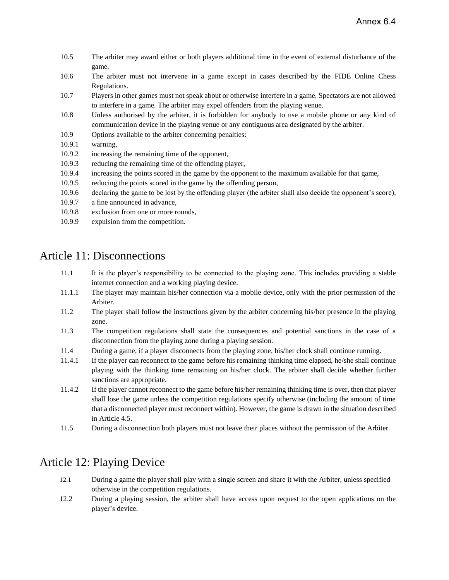- 10.5 The arbiter may award either or both players additional time in the event of external disturbance of the game.
- 10.6 The arbiter must not intervene in a game except in cases described by the FIDE Online Chess Regulations.
- 10.7 Players in other games must not speak about or otherwise interfere in a game. Spectators are not allowed to interfere in a game. The arbiter may expel offenders from the playing venue.
- 10.8 Unless authorised by the arbiter, it is forbidden for anybody to use a mobile phone or any kind of communication device in the playing venue or any contiguous area designated by the arbiter.
- 10.9 Options available to the arbiter concerning penalties:
- 10.9.1 warning,
- 10.9.2 increasing the remaining time of the opponent,
- 10.9.3 reducing the remaining time of the offending player,
- 10.9.4 increasing the points scored in the game by the opponent to the maximum available for that game,
- 10.9.5 reducing the points scored in the game by the offending person,
- 10.9.6 declaring the game to be lost by the offending player (the arbiter shall also decide the opponent's score),
- 10.9.7 a fine announced in advance,
- 10.9.8 exclusion from one or more rounds,
- 10.9.9 expulsion from the competition.

#### <span id="page-6-0"></span>Article 11: Disconnections

- 11.1 It is the player's responsibility to be connected to the playing zone. This includes providing a stable internet connection and a working playing device.
- 11.1.1 The player may maintain his/her connection via a mobile device, only with the prior permission of the Arbiter.
- 11.2 The player shall follow the instructions given by the arbiter concerning his/her presence in the playing zone.
- 11.3 The competition regulations shall state the consequences and potential sanctions in the case of a disconnection from the playing zone during a playing session.
- 11.4 During a game, if a player disconnects from the playing zone, his/her clock shall continue running.
- 11.4.1 If the player can reconnect to the game before his remaining thinking time elapsed, he/she shall continue playing with the thinking time remaining on his/her clock. The arbiter shall decide whether further sanctions are appropriate.
- 11.4.2 If the player cannot reconnect to the game before his/her remaining thinking time is over, then that player shall lose the game unless the competition regulations specify otherwise (including the amount of time that a disconnected player must reconnect within). However, the game is drawn in the situation described in Article 4.5.
- 11.5 During a disconnection both players must not leave their places without the permission of the Arbiter.

## <span id="page-6-1"></span>Article 12: Playing Device

- 12.1 During a game the player shall play with a single screen and share it with the Arbiter, unless specified otherwise in the competition regulations.
- 12.2 During a playing session, the arbiter shall have access upon request to the open applications on the player's device.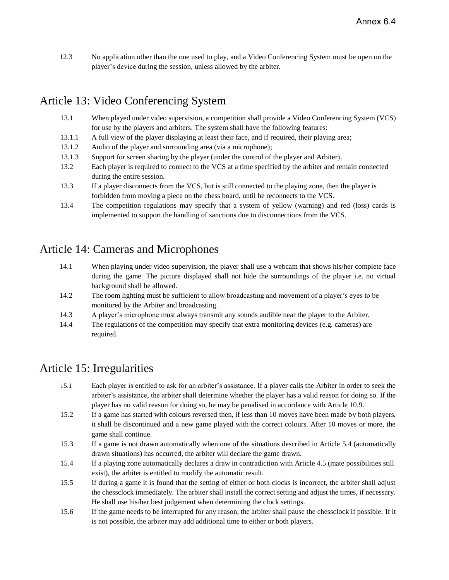12.3 No application other than the one used to play, and a Video Conferencing System must be open on the player's device during the session, unless allowed by the arbiter.

## <span id="page-7-0"></span>Article 13: Video Conferencing System

- 13.1 When played under video supervision, a competition shall provide a Video Conferencing System (VCS) for use by the players and arbiters. The system shall have the following features:
- 13.1.1 A full view of the player displaying at least their face, and if required, their playing area;
- 13.1.2 Audio of the player and surrounding area (via a microphone);
- 13.1.3 Support for screen sharing by the player (under the control of the player and Arbiter).
- 13.2 Each player is required to connect to the VCS at a time specified by the arbiter and remain connected during the entire session.
- 13.3 If a player disconnects from the VCS, but is still connected to the playing zone, then the player is forbidden from moving a piece on the chess board, until he reconnects to the VCS.
- 13.4 The competition regulations may specify that a system of yellow (warning) and red (loss) cards is implemented to support the handling of sanctions due to disconnections from the VCS.

### <span id="page-7-1"></span>Article 14: Cameras and Microphones

- 14.1 When playing under video supervision, the player shall use a webcam that shows his/her complete face during the game. The picture displayed shall not hide the surroundings of the player i.e. no virtual background shall be allowed.
- 14.2 The room lighting must be sufficient to allow broadcasting and movement of a player's eyes to be monitored by the Arbiter and broadcasting.
- 14.3 A player's microphone must always transmit any sounds audible near the player to the Arbiter.
- 14.4 The regulations of the competition may specify that extra monitoring devices (e.g. cameras) are required.

#### <span id="page-7-2"></span>Article 15: Irregularities

- 15.1 Each player is entitled to ask for an arbiter's assistance. If a player calls the Arbiter in order to seek the arbiter's assistance, the arbiter shall determine whether the player has a valid reason for doing so. If the player has no valid reason for doing so, he may be penalised in accordance with Article 10.9.
- 15.2 If a game has started with colours reversed then, if less than 10 moves have been made by both players, it shall be discontinued and a new game played with the correct colours. After 10 moves or more, the game shall continue.
- 15.3 If a game is not drawn automatically when one of the situations described in Article 5.4 (automatically drawn situations) has occurred, the arbiter will declare the game drawn.
- 15.4 If a playing zone automatically declares a draw in contradiction with Article 4.5 (mate possibilities still exist), the arbiter is entitled to modify the automatic result.
- 15.5 If during a game it is found that the setting of either or both clocks is incorrect, the arbiter shall adjust the chessclock immediately. The arbiter shall install the correct setting and adjust the times, if necessary. He shall use his/her best judgement when determining the clock settings.
- 15.6 If the game needs to be interrupted for any reason, the arbiter shall pause the chessclock if possible. If it is not possible, the arbiter may add additional time to either or both players.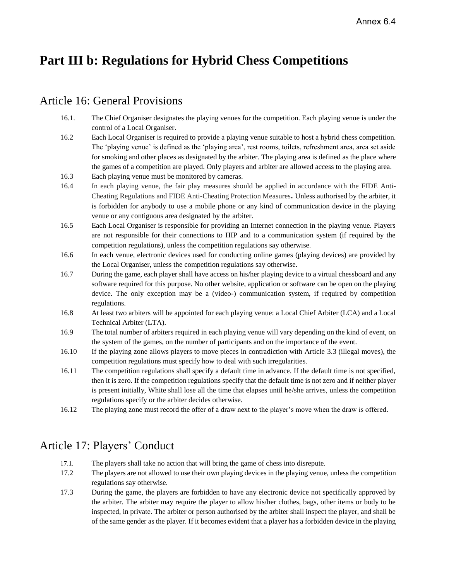## <span id="page-8-0"></span>**Part III b: Regulations for Hybrid Chess Competitions**

#### <span id="page-8-1"></span>Article 16: General Provisions

- 16.1. The Chief Organiser designates the playing venues for the competition. Each playing venue is under the control of a Local Organiser.
- 16.2 Each Local Organiser is required to provide a playing venue suitable to host a hybrid chess competition. The 'playing venue' is defined as the 'playing area', rest rooms, toilets, refreshment area, area set aside for smoking and other places as designated by the arbiter. The playing area is defined as the place where the games of a competition are played. Only players and arbiter are allowed access to the playing area.
- 16.3 Each playing venue must be monitored by cameras.
- 16.4 In each playing venue, the fair play measures should be applied in accordance with the FIDE Anti-Cheating Regulations and FIDE Anti-Cheating Protection Measures**.** Unless authorised by the arbiter, it is forbidden for anybody to use a mobile phone or any kind of communication device in the playing venue or any contiguous area designated by the arbiter.
- 16.5 Each Local Organiser is responsible for providing an Internet connection in the playing venue. Players are not responsible for their connections to HIP and to a communication system (if required by the competition regulations), unless the competition regulations say otherwise.
- 16.6 In each venue, electronic devices used for conducting online games (playing devices) are provided by the Local Organiser, unless the competition regulations say otherwise.
- 16.7 During the game, each player shall have access on his/her playing device to a virtual chessboard and any software required for this purpose. No other website, application or software can be open on the playing device. The only exception may be a (video-) communication system, if required by competition regulations.
- 16.8 At least two arbiters will be appointed for each playing venue: a Local Chief Arbiter (LCA) and a Local Technical Arbiter (LTA).
- 16.9 The total number of arbiters required in each playing venue will vary depending on the kind of event, on the system of the games, on the number of participants and on the importance of the event.
- 16.10 If the playing zone allows players to move pieces in contradiction with Article 3.3 (illegal moves), the competition regulations must specify how to deal with such irregularities.
- 16.11 The competition regulations shall specify a default time in advance. If the default time is not specified, then it is zero. If the competition regulations specify that the default time is not zero and if neither player is present initially, White shall lose all the time that elapses until he/she arrives, unless the competition regulations specify or the arbiter decides otherwise.
- 16.12 The playing zone must record the offer of a draw next to the player's move when the draw is offered.

## <span id="page-8-2"></span>Article 17: Players' Conduct

- 17.1. The players shall take no action that will bring the game of chess into disrepute.
- 17.2 The players are not allowed to use their own playing devices in the playing venue, unless the competition regulations say otherwise.
- 17.3 During the game, the players are forbidden to have any electronic device not specifically approved by the arbiter. The arbiter may require the player to allow his/her clothes, bags, other items or body to be inspected, in private. The arbiter or person authorised by the arbiter shall inspect the player, and shall be of the same gender as the player. If it becomes evident that a player has a forbidden device in the playing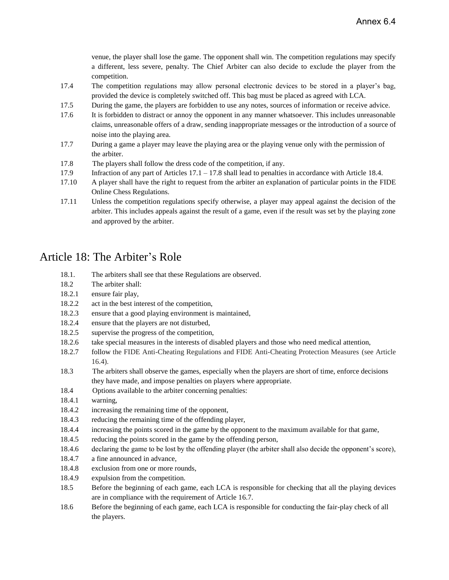venue, the player shall lose the game. The opponent shall win. The competition regulations may specify a different, less severe, penalty. The Chief Arbiter can also decide to exclude the player from the competition.

- 17.4 The competition regulations may allow personal electronic devices to be stored in a player's bag, provided the device is completely switched off. This bag must be placed as agreed with LCA.
- 17.5 During the game, the players are forbidden to use any notes, sources of information or receive advice.
- 17.6 It is forbidden to distract or annoy the opponent in any manner whatsoever. This includes unreasonable claims, unreasonable offers of a draw, sending inappropriate messages or the introduction of a source of noise into the playing area.
- 17.7 During a game a player may leave the playing area or the playing venue only with the permission of the arbiter.
- 17.8 The players shall follow the dress code of the competition, if any.
- 17.9 Infraction of any part of Articles 17.1 17.8 shall lead to penalties in accordance with Article 18.4.
- 17.10 A player shall have the right to request from the arbiter an explanation of particular points in the FIDE Online Chess Regulations.
- 17.11 Unless the competition regulations specify otherwise, a player may appeal against the decision of the arbiter. This includes appeals against the result of a game, even if the result was set by the playing zone and approved by the arbiter.

### <span id="page-9-0"></span>Article 18: The Arbiter's Role

- 18.1. The arbiters shall see that these Regulations are observed.
- 18.2 The arbiter shall:
- 18.2.1 ensure fair play,
- 18.2.2 act in the best interest of the competition,
- 18.2.3 ensure that a good playing environment is maintained,
- 18.2.4 ensure that the players are not disturbed,
- 18.2.5 supervise the progress of the competition,
- 18.2.6 take special measures in the interests of disabled players and those who need medical attention,
- 18.2.7 follow the FIDE Anti-Cheating Regulations and FIDE Anti-Cheating Protection Measures (see Article 16.4).
- 18.3 The arbiters shall observe the games, especially when the players are short of time, enforce decisions they have made, and impose penalties on players where appropriate.
- 18.4 Options available to the arbiter concerning penalties:
- 18.4.1 warning,
- 18.4.2 increasing the remaining time of the opponent,
- 18.4.3 reducing the remaining time of the offending player,
- 18.4.4 increasing the points scored in the game by the opponent to the maximum available for that game,
- 18.4.5 reducing the points scored in the game by the offending person,
- 18.4.6 declaring the game to be lost by the offending player (the arbiter shall also decide the opponent's score),
- 18.4.7 a fine announced in advance,
- 18.4.8 exclusion from one or more rounds,
- 18.4.9 expulsion from the competition.
- 18.5 Before the beginning of each game, each LCA is responsible for checking that all the playing devices are in compliance with the requirement of Article 16.7.
- 18.6 Before the beginning of each game, each LCA is responsible for conducting the fair-play check of all the players.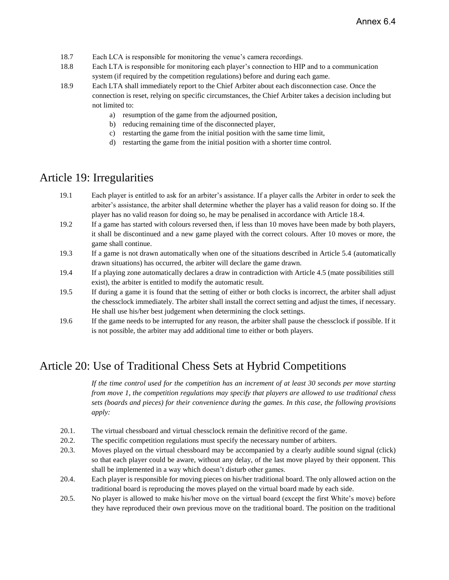- 18.7 Each LCA is responsible for monitoring the venue's camera recordings.
- 18.8 Each LTA is responsible for monitoring each player's connection to HIP and to a communication system (if required by the competition regulations) before and during each game.
- 18.9 Each LTA shall immediately report to the Chief Arbiter about each disconnection case. Once the connection is reset, relying on specific circumstances, the Chief Arbiter takes a decision including but not limited to:
	- a) resumption of the game from the adjourned position,
	- b) reducing remaining time of the disconnected player,
	- c) restarting the game from the initial position with the same time limit,
	- d) restarting the game from the initial position with a shorter time control.

#### <span id="page-10-0"></span>Article 19: Irregularities

- 19.1 Each player is entitled to ask for an arbiter's assistance. If a player calls the Arbiter in order to seek the arbiter's assistance, the arbiter shall determine whether the player has a valid reason for doing so. If the player has no valid reason for doing so, he may be penalised in accordance with Article 18.4.
- 19.2 If a game has started with colours reversed then, if less than 10 moves have been made by both players, it shall be discontinued and a new game played with the correct colours. After 10 moves or more, the game shall continue.
- 19.3 If a game is not drawn automatically when one of the situations described in Article 5.4 (automatically drawn situations) has occurred, the arbiter will declare the game drawn.
- 19.4 If a playing zone automatically declares a draw in contradiction with Article 4.5 (mate possibilities still exist), the arbiter is entitled to modify the automatic result.
- 19.5 If during a game it is found that the setting of either or both clocks is incorrect, the arbiter shall adjust the chessclock immediately. The arbiter shall install the correct setting and adjust the times, if necessary. He shall use his/her best judgement when determining the clock settings.
- 19.6 If the game needs to be interrupted for any reason, the arbiter shall pause the chessclock if possible. If it is not possible, the arbiter may add additional time to either or both players.

## <span id="page-10-1"></span>Article 20: Use of Traditional Chess Sets at Hybrid Competitions

*If the time control used for the competition has an increment of at least 30 seconds per move starting from move 1, the competition regulations may specify that players are allowed to use traditional chess sets (boards and pieces) for their convenience during the games. In this case, the following provisions apply:*

- 20.1. The virtual chessboard and virtual chessclock remain the definitive record of the game.
- 20.2. The specific competition regulations must specify the necessary number of arbiters.
- 20.3. Moves played on the virtual chessboard may be accompanied by a clearly audible sound signal (click) so that each player could be aware, without any delay, of the last move played by their opponent. This shall be implemented in a way which doesn't disturb other games.
- 20.4. Each player is responsible for moving pieces on his/her traditional board. The only allowed action on the traditional board is reproducing the moves played on the virtual board made by each side.
- 20.5. No player is allowed to make his/her move on the virtual board (except the first White's move) before they have reproduced their own previous move on the traditional board. The position on the traditional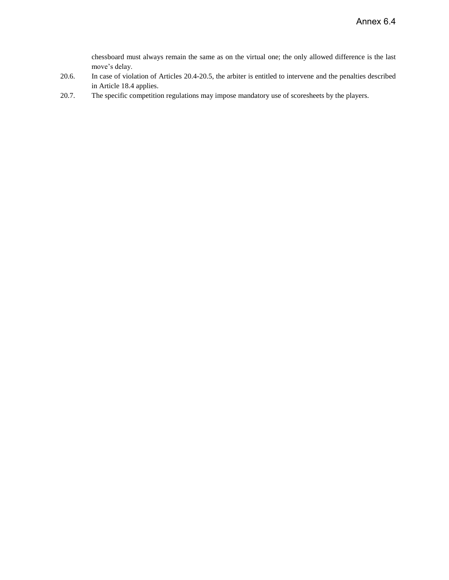chessboard must always remain the same as on the virtual one; the only allowed difference is the last move's delay.

- 20.6. In case of violation of Articles 20.4-20.5, the arbiter is entitled to intervene and the penalties described in Article 18.4 applies.
- 20.7. The specific competition regulations may impose mandatory use of scoresheets by the players.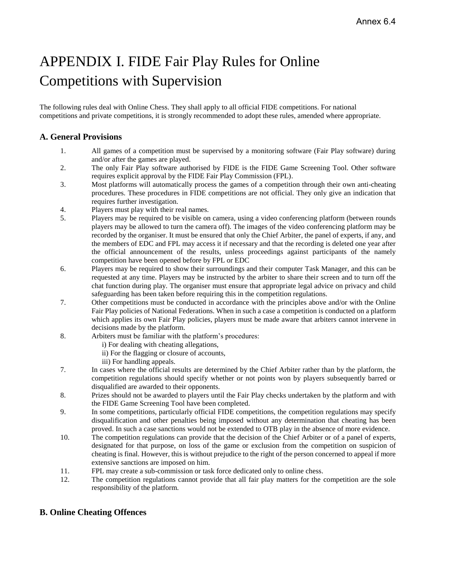# <span id="page-12-0"></span>APPENDIX I. FIDE Fair Play Rules for Online Competitions with Supervision

The following rules deal with Online Chess. They shall apply to all official FIDE competitions. For national competitions and private competitions, it is strongly recommended to adopt these rules, amended where appropriate.

#### **A. General Provisions**

- 1. All games of a competition must be supervised by a monitoring software (Fair Play software) during and/or after the games are played.
- 2. The only Fair Play software authorised by FIDE is the FIDE Game Screening Tool. Other software requires explicit approval by the FIDE Fair Play Commission (FPL).
- 3. Most platforms will automatically process the games of a competition through their own anti-cheating procedures. These procedures in FIDE competitions are not official. They only give an indication that requires further investigation.
- 4. Players must play with their real names.
- 5. Players may be required to be visible on camera, using a video conferencing platform (between rounds players may be allowed to turn the camera off). The images of the video conferencing platform may be recorded by the organiser. It must be ensured that only the Chief Arbiter, the panel of experts, if any, and the members of EDC and FPL may access it if necessary and that the recording is deleted one year after the official announcement of the results, unless proceedings against participants of the namely competition have been opened before by FPL or EDC
- 6. Players may be required to show their surroundings and their computer Task Manager, and this can be requested at any time. Players may be instructed by the arbiter to share their screen and to turn off the chat function during play. The organiser must ensure that appropriate legal advice on privacy and child safeguarding has been taken before requiring this in the competition regulations.
- 7. Other competitions must be conducted in accordance with the principles above and/or with the Online Fair Play policies of National Federations. When in such a case a competition is conducted on a platform which applies its own Fair Play policies, players must be made aware that arbiters cannot intervene in decisions made by the platform.
- 8. Arbiters must be familiar with the platform's procedures:
	- i) For dealing with cheating allegations,
	- ii) For the flagging or closure of accounts,
	- iii) For handling appeals.
- 7. In cases where the official results are determined by the Chief Arbiter rather than by the platform, the competition regulations should specify whether or not points won by players subsequently barred or disqualified are awarded to their opponents.
- 8. Prizes should not be awarded to players until the Fair Play checks undertaken by the platform and with the FIDE Game Screening Tool have been completed.
- 9. In some competitions, particularly official FIDE competitions, the competition regulations may specify disqualification and other penalties being imposed without any determination that cheating has been proved. In such a case sanctions would not be extended to OTB play in the absence of more evidence.
- 10. The competition regulations can provide that the decision of the Chief Arbiter or of a panel of experts, designated for that purpose, on loss of the game or exclusion from the competition on suspicion of cheating is final. However, this is without prejudice to the right of the person concerned to appeal if more extensive sanctions are imposed on him.
- 11. FPL may create a sub-commission or task force dedicated only to online chess.
- 12. The competition regulations cannot provide that all fair play matters for the competition are the sole responsibility of the platform.

#### **B. Online Cheating Offences**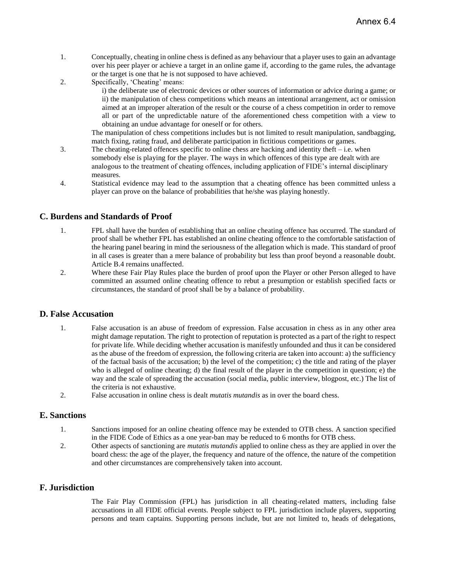- 1. Conceptually, cheating in online chess is defined as any behaviour that a player uses to gain an advantage over his peer player or achieve a target in an online game if, according to the game rules, the advantage or the target is one that he is not supposed to have achieved.
- 2. Specifically, 'Cheating' means:

i) the deliberate use of electronic devices or other sources of information or advice during a game; or ii) the manipulation of chess competitions which means an intentional arrangement, act or omission aimed at an improper alteration of the result or the course of a chess competition in order to remove all or part of the unpredictable nature of the aforementioned chess competition with a view to obtaining an undue advantage for oneself or for others.

The manipulation of chess competitions includes but is not limited to result manipulation, sandbagging, match fixing, rating fraud, and deliberate participation in fictitious competitions or games.

- 3. The cheating-related offences specific to online chess are hacking and identity theft i.e. when somebody else is playing for the player. The ways in which offences of this type are dealt with are analogous to the treatment of cheating offences, including application of FIDE's internal disciplinary measures.
- 4. Statistical evidence may lead to the assumption that a cheating offence has been committed unless a player can prove on the balance of probabilities that he/she was playing honestly.

#### **C. Burdens and Standards of Proof**

- 1. FPL shall have the burden of establishing that an online cheating offence has occurred. The standard of proof shall be whether FPL has established an online cheating offence to the comfortable satisfaction of the hearing panel bearing in mind the seriousness of the allegation which is made. This standard of proof in all cases is greater than a mere balance of probability but less than proof beyond a reasonable doubt. Article B.4 remains unaffected.
- 2. Where these Fair Play Rules place the burden of proof upon the Player or other Person alleged to have committed an assumed online cheating offence to rebut a presumption or establish specified facts or circumstances, the standard of proof shall be by a balance of probability.

#### **D. False Accusation**

- 1. False accusation is an abuse of freedom of expression. False accusation in chess as in any other area might damage reputation. The right to protection of reputation is protected as a part of the right to respect for private life. While deciding whether accusation is manifestly unfounded and thus it can be considered as the abuse of the freedom of expression, the following criteria are taken into account: a) the sufficiency of the factual basis of the accusation; b) the level of the competition; c) the title and rating of the player who is alleged of online cheating; d) the final result of the player in the competition in question; e) the way and the scale of spreading the accusation (social media, public interview, blogpost, etc.) The list of the criteria is not exhaustive.
- 2. False accusation in online chess is dealt *mutatis mutandis* as in over the board chess.

#### **E. Sanctions**

- 1. Sanctions imposed for an online cheating offence may be extended to OTB chess. A sanction specified in the FIDE Code of Ethics as a one year-ban may be reduced to 6 months for OTB chess.
- 2. Other aspects of sanctioning are *mutatis mutandis* applied to online chess as they are applied in over the board chess: the age of the player, the frequency and nature of the offence, the nature of the competition and other circumstances are comprehensively taken into account.

#### **F. Jurisdiction**

The Fair Play Commission (FPL) has jurisdiction in all cheating-related matters, including false accusations in all FIDE official events. People subject to FPL jurisdiction include players, supporting persons and team captains. Supporting persons include, but are not limited to, heads of delegations,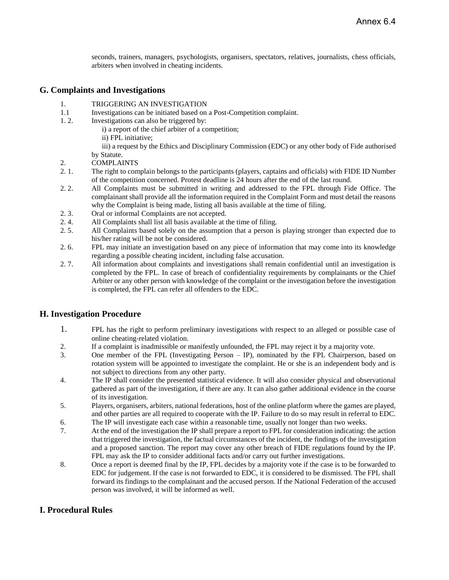seconds, trainers, managers, psychologists, organisers, spectators, relatives, journalists, chess officials, arbiters when involved in cheating incidents.

#### **G. Complaints and Investigations**

- 1. TRIGGERING AN INVESTIGATION
- 1.1 Investigations can be initiated based on a Post-Competition complaint.
- 1. 2. Investigations can also be triggered by:
	- i) a report of the chief arbiter of a competition;
		- ii) FPL initiative;

iii) a request by the Ethics and Disciplinary Commission (EDC) or any other body of Fide authorised by Statute.

- 2. COMPLAINTS
- 2. 1. The right to complain belongs to the participants (players, captains and officials) with FIDE ID Number of the competition concerned. Protest deadline is 24 hours after the end of the last round.
- 2. 2. All Complaints must be submitted in writing and addressed to the FPL through Fide Office. The complainant shall provide all the information required in the Complaint Form and must detail the reasons why the Complaint is being made, listing all basis available at the time of filing.
- 2. 3. Oral or informal Complaints are not accepted.
- 2. 4. All Complaints shall list all basis available at the time of filing.
- 2. 5. All Complaints based solely on the assumption that a person is playing stronger than expected due to his/her rating will be not be considered.
- 2. 6. FPL may initiate an investigation based on any piece of information that may come into its knowledge regarding a possible cheating incident, including false accusation.
- 2. 7. All information about complaints and investigations shall remain confidential until an investigation is completed by the FPL. In case of breach of confidentiality requirements by complainants or the Chief Arbiter or any other person with knowledge of the complaint or the investigation before the investigation is completed, the FPL can refer all offenders to the EDC.

#### **H. Investigation Procedure**

- 1. FPL has the right to perform preliminary investigations with respect to an alleged or possible case of online cheating-related violation.
- 2. If a complaint is inadmissible or manifestly unfounded, the FPL may reject it by a majority vote.
- 3. One member of the FPL (Investigating Person IP), nominated by the FPL Chairperson, based on rotation system will be appointed to investigate the complaint. He or she is an independent body and is not subject to directions from any other party.
- 4. The IP shall consider the presented statistical evidence. It will also consider physical and observational gathered as part of the investigation, if there are any. It can also gather additional evidence in the course of its investigation.
- 5. Players, organisers, arbiters, national federations, host of the online platform where the games are played, and other parties are all required to cooperate with the IP. Failure to do so may result in referral to EDC. 6. The IP will investigate each case within a reasonable time, usually not longer than two weeks.
- 7. At the end of the investigation the IP shall prepare a report to FPL for consideration indicating: the action that triggered the investigation, the factual circumstances of the incident, the findings of the investigation and a proposed sanction. The report may cover any other breach of FIDE regulations found by the IP. FPL may ask the IP to consider additional facts and/or carry out further investigations.
- 8. Once a report is deemed final by the IP, FPL decides by a majority vote if the case is to be forwarded to EDC for judgement. If the case is not forwarded to EDC, it is considered to be dismissed. The FPL shall forward its findings to the complainant and the accused person. If the National Federation of the accused person was involved, it will be informed as well.

#### **I. Procedural Rules**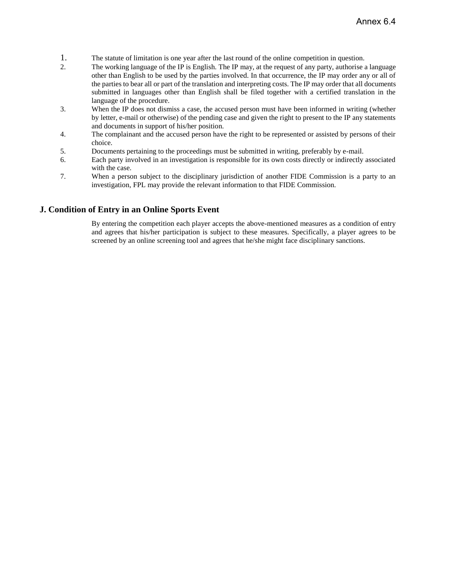- 1. The statute of limitation is one year after the last round of the online competition in question.
- 2. The working language of the IP is English. The IP may, at the request of any party, authorise a language other than English to be used by the parties involved. In that occurrence, the IP may order any or all of the parties to bear all or part of the translation and interpreting costs. The IP may order that all documents submitted in languages other than English shall be filed together with a certified translation in the language of the procedure.
- 3. When the IP does not dismiss a case, the accused person must have been informed in writing (whether by letter, e-mail or otherwise) of the pending case and given the right to present to the IP any statements and documents in support of his/her position.
- 4. The complainant and the accused person have the right to be represented or assisted by persons of their choice.
- 5. Documents pertaining to the proceedings must be submitted in writing, preferably by e-mail.
- 6. Each party involved in an investigation is responsible for its own costs directly or indirectly associated with the case.
- 7. When a person subject to the disciplinary jurisdiction of another FIDE Commission is a party to an investigation, FPL may provide the relevant information to that FIDE Commission.

#### **J. Condition of Entry in an Online Sports Event**

By entering the competition each player accepts the above-mentioned measures as a condition of entry and agrees that his/her participation is subject to these measures. Specifically, a player agrees to be screened by an online screening tool and agrees that he/she might face disciplinary sanctions.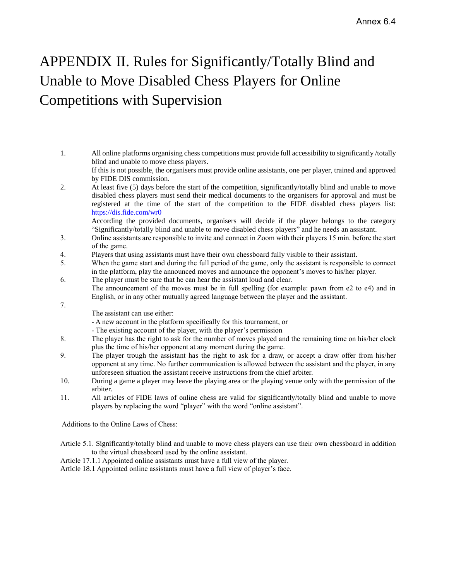# <span id="page-16-0"></span>APPENDIX II. Rules for Significantly/Totally Blind and Unable to Move Disabled Chess Players for Online Competitions with Supervision

1. All online platforms organising chess competitions must provide full accessibility to significantly /totally blind and unable to move chess players. If this is not possible, the organisers must provide online assistants, one per player, trained and approved by FIDE DIS commission. 2. At least five (5) days before the start of the competition, significantly/totally blind and unable to move disabled chess players must send their medical documents to the organisers for approval and must be registered at the time of the start of the competition to the FIDE disabled chess players list: <https://dis.fide.com/wr0>

According the provided documents, organisers will decide if the player belongs to the category "Significantly/totally blind and unable to move disabled chess players" and he needs an assistant.

- 3. Online assistants are responsible to invite and connect in Zoom with their players 15 min. before the start of the game.
- 4. Players that using assistants must have their own chessboard fully visible to their assistant.
- 5. When the game start and during the full period of the game, only the assistant is responsible to connect in the platform, play the announced moves and announce the opponent's moves to his/her player.
- 6. The player must be sure that he can hear the assistant loud and clear. The announcement of the moves must be in full spelling (for example: pawn from e2 to e4) and in English, or in any other mutually agreed language between the player and the assistant.
	- The assistant can use either:

7.

- A new account in the platform specifically for this tournament, or
- The existing account of the player, with the player's permission
- 8. The player has the right to ask for the number of moves played and the remaining time on his/her clock plus the time of his/her opponent at any moment during the game.
- 9. The player trough the assistant has the right to ask for a draw, or accept a draw offer from his/her opponent at any time. No further communication is allowed between the assistant and the player, in any unforeseen situation the assistant receive instructions from the chief arbiter.
- 10. During a game a player may leave the playing area or the playing venue only with the permission of the arbiter.
- 11. All articles of FIDE laws of online chess are valid for significantly/totally blind and unable to move players by replacing the word "player" with the word "online assistant".

Additions to the Online Laws of Chess:

- Article 5.1. Significantly/totally blind and unable to move chess players can use their own chessboard in addition to the virtual chessboard used by the online assistant.
- Article 17.1.1 Appointed online assistants must have a full view of the player.

Article 18.1 Appointed online assistants must have a full view of player's face.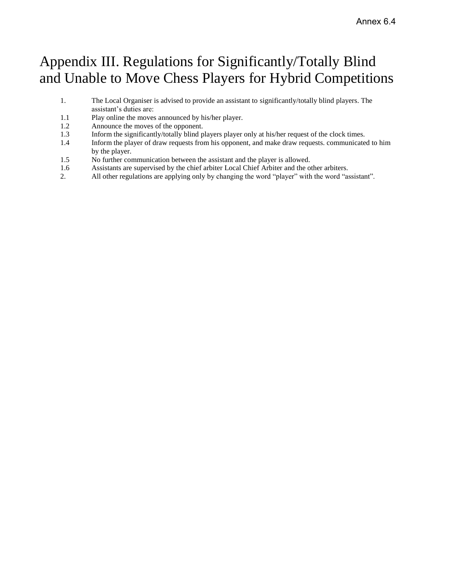# Appendix III. Regulations for Significantly/Totally Blind and Unable to Move Chess Players for Hybrid Competitions

- 1. The Local Organiser is advised to provide an assistant to significantly/totally blind players. The assistant's duties are:
- 1.1 Play online the moves announced by his/her player.
- 1.2 Announce the moves of the opponent.
- 1.3 Inform the significantly/totally blind players player only at his/her request of the clock times.
- 1.4 Inform the player of draw requests from his opponent, and make draw requests. communicated to him by the player.
- 1.5 No further communication between the assistant and the player is allowed.
- 1.6 Assistants are supervised by the chief arbiter Local Chief Arbiter and the other arbiters.
- 2. All other regulations are applying only by changing the word "player" with the word "assistant".